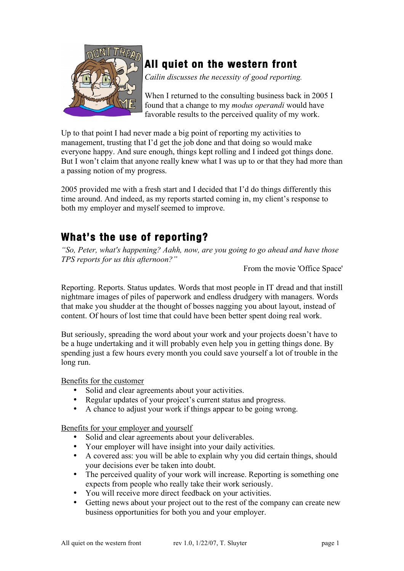

# **All quiet on the western front**

*Cailin discusses the necessity of good reporting.*

When I returned to the consulting business back in 2005 I found that a change to my *modus operandi* would have favorable results to the perceived quality of my work.

Up to that point I had never made a big point of reporting my activities to management, trusting that I'd get the job done and that doing so would make everyone happy. And sure enough, things kept rolling and I indeed got things done. But I won't claim that anyone really knew what I was up to or that they had more than a passing notion of my progress.

2005 provided me with a fresh start and I decided that I'd do things differently this time around. And indeed, as my reports started coming in, my client's response to both my employer and myself seemed to improve.

# **What's the use of reporting?**

*"So, Peter, what's happening? Aahh, now, are you going to go ahead and have those TPS reports for us this afternoon?"*

From the movie 'Office Space'

Reporting. Reports. Status updates. Words that most people in IT dread and that instill nightmare images of piles of paperwork and endless drudgery with managers. Words that make you shudder at the thought of bosses nagging you about layout, instead of content. Of hours of lost time that could have been better spent doing real work.

But seriously, spreading the word about your work and your projects doesn't have to be a huge undertaking and it will probably even help you in getting things done. By spending just a few hours every month you could save yourself a lot of trouble in the long run.

Benefits for the customer

- Solid and clear agreements about your activities.
- Regular updates of your project's current status and progress.
- A chance to adjust your work if things appear to be going wrong.

Benefits for your employer and yourself

- Solid and clear agreements about your deliverables.
- Your employer will have insight into your daily activities.<br>• A covered ass: you will be able to explain why you did cer
- A covered ass: you will be able to explain why you did certain things, should your decisions ever be taken into doubt.
- The perceived quality of your work will increase. Reporting is something one expects from people who really take their work seriously.
- You will receive more direct feedback on your activities.
- Getting news about your project out to the rest of the company can create new business opportunities for both you and your employer.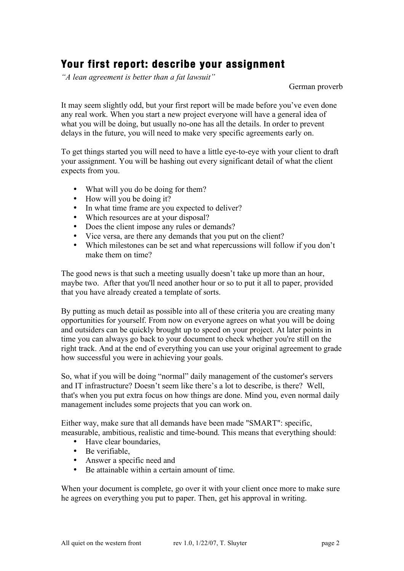## **Your first report: describe your assignment**

*"A lean agreement is better than a fat lawsuit"*

German proverb

It may seem slightly odd, but your first report will be made before you've even done any real work. When you start a new project everyone will have a general idea of what you will be doing, but usually no-one has all the details. In order to prevent delays in the future, you will need to make very specific agreements early on.

To get things started you will need to have a little eye-to-eye with your client to draft your assignment. You will be hashing out every significant detail of what the client expects from you.

- What will you do be doing for them?
- How will you be doing it?
- In what time frame are you expected to deliver?
- Which resources are at your disposal?
- Does the client impose any rules or demands?
- Vice versa, are there any demands that you put on the client?
- Which milestones can be set and what repercussions will follow if you don't make them on time?

The good news is that such a meeting usually doesn't take up more than an hour, maybe two. After that you'll need another hour or so to put it all to paper, provided that you have already created a template of sorts.

By putting as much detail as possible into all of these criteria you are creating many opportunities for yourself. From now on everyone agrees on what you will be doing and outsiders can be quickly brought up to speed on your project. At later points in time you can always go back to your document to check whether you're still on the right track. And at the end of everything you can use your original agreement to grade how successful you were in achieving your goals.

So, what if you will be doing "normal" daily management of the customer's servers and IT infrastructure? Doesn't seem like there's a lot to describe, is there? Well, that's when you put extra focus on how things are done. Mind you, even normal daily management includes some projects that you can work on.

Either way, make sure that all demands have been made "SMART": specific, measurable, ambitious, realistic and time-bound. This means that everything should:

- Have clear boundaries,
- Be verifiable,
- Answer a specific need and
- Be attainable within a certain amount of time.

When your document is complete, go over it with your client once more to make sure he agrees on everything you put to paper. Then, get his approval in writing.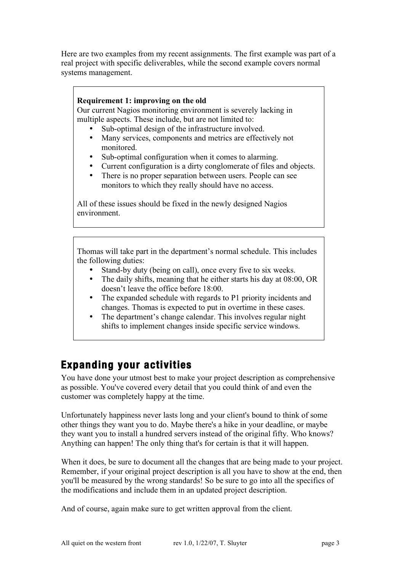Here are two examples from my recent assignments. The first example was part of a real project with specific deliverables, while the second example covers normal systems management.

### **Requirement 1: improving on the old**

Our current Nagios monitoring environment is severely lacking in multiple aspects. These include, but are not limited to:

- Sub-optimal design of the infrastructure involved.
- Many services, components and metrics are effectively not monitored.
- Sub-optimal configuration when it comes to alarming.
- Current configuration is a dirty conglomerate of files and objects.
- There is no proper separation between users. People can see monitors to which they really should have no access.

All of these issues should be fixed in the newly designed Nagios environment.

Thomas will take part in the department's normal schedule. This includes the following duties:

- Stand-by duty (being on call), once every five to six weeks.
- The daily shifts, meaning that he either starts his day at 08:00, OR doesn't leave the office before 18:00.
- The expanded schedule with regards to P1 priority incidents and changes. Thomas is expected to put in overtime in these cases.
- The department's change calendar. This involves regular night shifts to implement changes inside specific service windows.

## **Expanding your activities**

You have done your utmost best to make your project description as comprehensive as possible. You've covered every detail that you could think of and even the customer was completely happy at the time.

Unfortunately happiness never lasts long and your client's bound to think of some other things they want you to do. Maybe there's a hike in your deadline, or maybe they want you to install a hundred servers instead of the original fifty. Who knows? Anything can happen! The only thing that's for certain is that it will happen.

When it does, be sure to document all the changes that are being made to your project. Remember, if your original project description is all you have to show at the end, then you'll be measured by the wrong standards! So be sure to go into all the specifics of the modifications and include them in an updated project description.

And of course, again make sure to get written approval from the client.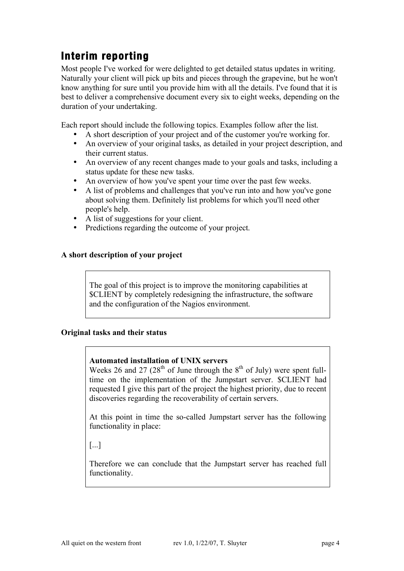# **Interim reporting**

Most people I've worked for were delighted to get detailed status updates in writing. Naturally your client will pick up bits and pieces through the grapevine, but he won't know anything for sure until you provide him with all the details. I've found that it is best to deliver a comprehensive document every six to eight weeks, depending on the duration of your undertaking.

Each report should include the following topics. Examples follow after the list.

- A short description of your project and of the customer you're working for.
- An overview of your original tasks, as detailed in your project description, and their current status.
- An overview of any recent changes made to your goals and tasks, including a status update for these new tasks.
- An overview of how you've spent your time over the past few weeks.
- A list of problems and challenges that you've run into and how you've gone about solving them. Definitely list problems for which you'll need other people's help.
- A list of suggestions for your client.
- Predictions regarding the outcome of your project.

#### **A short description of your project**

The goal of this project is to improve the monitoring capabilities at \$CLIENT by completely redesigning the infrastructure, the software and the configuration of the Nagios environment.

#### **Original tasks and their status**

#### **Automated installation of UNIX servers**

Weeks 26 and 27 ( $28<sup>th</sup>$  of June through the  $8<sup>th</sup>$  of July) were spent fulltime on the implementation of the Jumpstart server. \$CLIENT had requested I give this part of the project the highest priority, due to recent discoveries regarding the recoverability of certain servers.

At this point in time the so-called Jumpstart server has the following functionality in place:

[...]

Therefore we can conclude that the Jumpstart server has reached full functionality.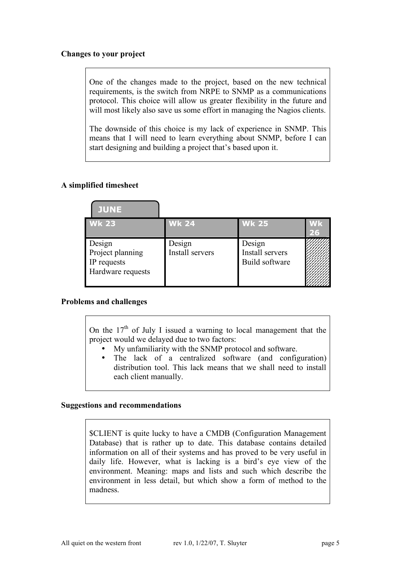### **Changes to your project**

One of the changes made to the project, based on the new technical requirements, is the switch from NRPE to SNMP as a communications protocol. This choice will allow us greater flexibility in the future and will most likely also save us some effort in managing the Nagios clients.

The downside of this choice is my lack of experience in SNMP. This means that I will need to learn everything about SNMP, before I can start designing and building a project that's based upon it.

### **A simplified timesheet**

| <b>JUNE</b>                                                    |                           |                                             |          |
|----------------------------------------------------------------|---------------------------|---------------------------------------------|----------|
| $Wk$ 23                                                        | <b>Wk 24</b>              | <b>Wk 25</b>                                | Wk<br>26 |
| Design<br>Project planning<br>IP requests<br>Hardware requests | Design<br>Install servers | Design<br>Install servers<br>Build software |          |

#### **Problems and challenges**

On the  $17<sup>th</sup>$  of July I issued a warning to local management that the project would we delayed due to two factors:

- My unfamiliarity with the SNMP protocol and software.
- The lack of a centralized software (and configuration) distribution tool. This lack means that we shall need to install each client manually.

#### **Suggestions and recommendations**

\$CLIENT is quite lucky to have a CMDB (Configuration Management Database) that is rather up to date. This database contains detailed information on all of their systems and has proved to be very useful in daily life. However, what is lacking is a bird's eye view of the environment. Meaning: maps and lists and such which describe the environment in less detail, but which show a form of method to the madness.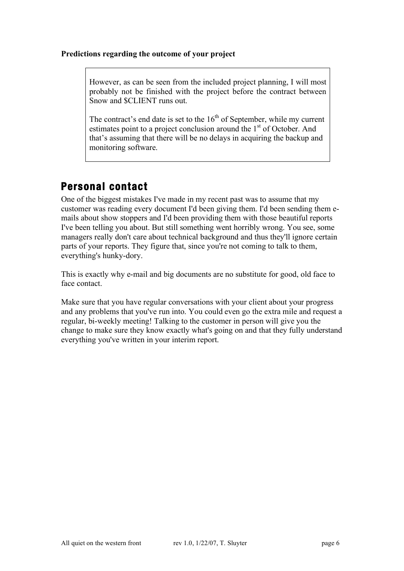### **Predictions regarding the outcome of your project**

However, as can be seen from the included project planning, I will most probably not be finished with the project before the contract between Snow and \$CLIENT runs out.

The contract's end date is set to the  $16<sup>th</sup>$  of September, while my current estimates point to a project conclusion around the 1<sup>st</sup> of October. And that's assuming that there will be no delays in acquiring the backup and monitoring software.

# **Personal contact**

One of the biggest mistakes I've made in my recent past was to assume that my customer was reading every document I'd been giving them. I'd been sending them emails about show stoppers and I'd been providing them with those beautiful reports I've been telling you about. But still something went horribly wrong. You see, some managers really don't care about technical background and thus they'll ignore certain parts of your reports. They figure that, since you're not coming to talk to them, everything's hunky-dory.

This is exactly why e-mail and big documents are no substitute for good, old face to face contact.

Make sure that you have regular conversations with your client about your progress and any problems that you've run into. You could even go the extra mile and request a regular, bi-weekly meeting! Talking to the customer in person will give you the change to make sure they know exactly what's going on and that they fully understand everything you've written in your interim report.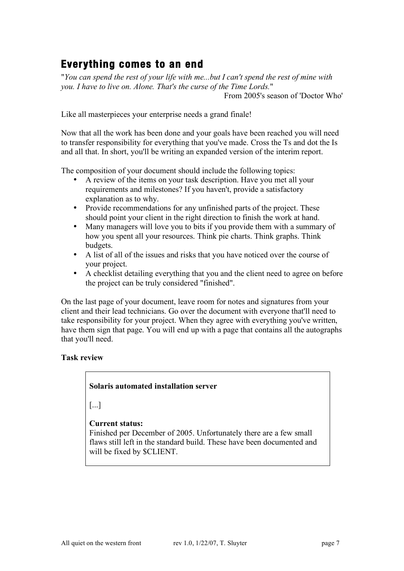# **Everything comes to an end**

"*You can spend the rest of your life with me...but I can't spend the rest of mine with you. I have to live on. Alone. That's the curse of the Time Lords.*" From 2005's season of 'Doctor Who'

Like all masterpieces your enterprise needs a grand finale!

Now that all the work has been done and your goals have been reached you will need to transfer responsibility for everything that you've made. Cross the Ts and dot the Is and all that. In short, you'll be writing an expanded version of the interim report.

The composition of your document should include the following topics:

- A review of the items on your task description. Have you met all your requirements and milestones? If you haven't, provide a satisfactory explanation as to why.
- Provide recommendations for any unfinished parts of the project. These should point your client in the right direction to finish the work at hand.
- Many managers will love you to bits if you provide them with a summary of how you spent all your resources. Think pie charts. Think graphs. Think budgets.
- A list of all of the issues and risks that you have noticed over the course of your project.
- A checklist detailing everything that you and the client need to agree on before the project can be truly considered "finished".

On the last page of your document, leave room for notes and signatures from your client and their lead technicians. Go over the document with everyone that'll need to take responsibility for your project. When they agree with everything you've written, have them sign that page. You will end up with a page that contains all the autographs that you'll need.

### **Task review**

### **Solaris automated installation server**

[...]

### **Current status:**

Finished per December of 2005. Unfortunately there are a few small flaws still left in the standard build. These have been documented and will be fixed by \$CLIENT.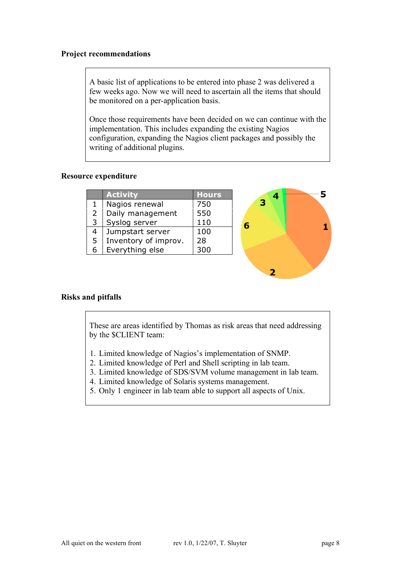#### **Project recommendations**

A basic list of applications to be entered into phase 2 was delivered a few weeks ago. Now we will need to ascertain all the items that should be monitored on a per-application basis.

Once those requirements have been decided on we can continue with the implementation. This includes expanding the existing Nagios configuration, expanding the Nagios client packages and possibly the writing of additional plugins.

#### **Resource expenditure**

|   | <b>Activity</b>      | <b>Hours</b> |   |
|---|----------------------|--------------|---|
|   | Nagios renewal       | 750          | з |
|   | Daily management     | 550          |   |
| 3 | Syslog server        | 110          |   |
| 4 | Jumpstart server     | 100          |   |
| 5 | Inventory of improv. | 28           |   |
| 6 | Everything else      | 300          |   |
|   |                      |              |   |
|   |                      |              |   |

#### **Risks and pitfalls**

These are areas identified by Thomas as risk areas that need addressing by the \$CLIENT team:

- 1. Limited knowledge of Nagios's implementation of SNMP.
- 2. Limited knowledge of Perl and Shell scripting in lab team.
- 3. Limited knowledge of SDS/SVM volume management in lab team.
- 4. Limited knowledge of Solaris systems management.
- 5. Only 1 engineer in lab team able to support all aspects of Unix.